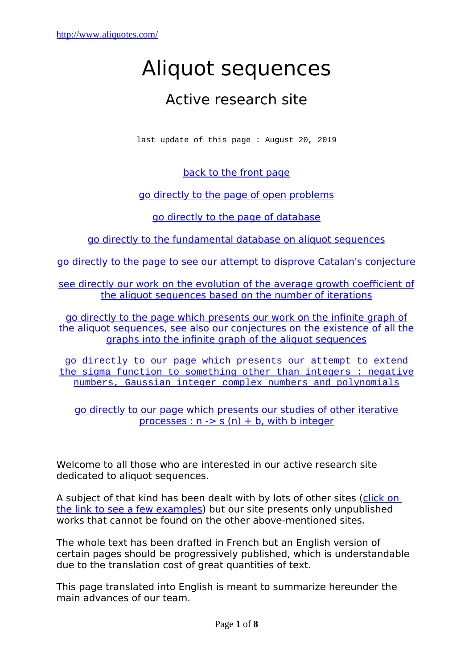# Aliquot sequences

# Active research site

last update of this page : August 20, 2019

[back to the front page](http://www.aliquotes.com/)

[go directly to the page of open problems](http://www.aliquotes.com/problemes.htm)

[go directly to the page of database](http://www.aliquotes.com/aliquote_base.htm)

[go directly to the fundamental database on aliquot sequences](http://www.aliquotes.com/aliquote_base.htm#alibasefonda)

[go directly to the page to see our attempt to disprove Catalan's conjecture](http://www.aliquotes.com/infirmer_catalan.pdf)

 [see directly our work on the evolution of the average growth coefficient of](http://www.aliquotes.com/vitesse_croissance.pdf) the aliquot sequences based on the number of iterations

[go directly to the page which presents our work on the infinite graph of](http://www.aliquotes.com/graphinfinisuali.htm) [the aliquot sequences, see also our conjectures on the existence of all the](http://www.aliquotes.com/graphinfinisuali.htm) graphs into the infinite graph of the aliquot sequences

[go directly to our page which presents our attempt to extend](http://www.aliquotes.com/etendre_sigma.html) [the sigma function to something other than integers : negative](http://www.aliquotes.com/etendre_sigma.html) [numbers, Gaussian integer complex numbers and polynomials](http://www.aliquotes.com/etendre_sigma.html)

[go directly to our page which presents our studies of other iterative](http://www.aliquotes.com/autres_processus_iteratifs.html) processes :  $n \rightarrow s(n) + b$ , with b integer

Welcome to all those who are interested in our active research site dedicated to aliquot sequences.

A subject of that kind has been dealt with by lots of other sites (click on [the link to see a few examples\)](http://www.aliquotes.com/sites.htm) but our site presents only unpublished works that cannot be found on the other above-mentioned sites.

The whole text has been drafted in French but an English version of certain pages should be progressively published, which is understandable due to the translation cost of great quantities of text.

This page translated into English is meant to summarize hereunder the main advances of our team.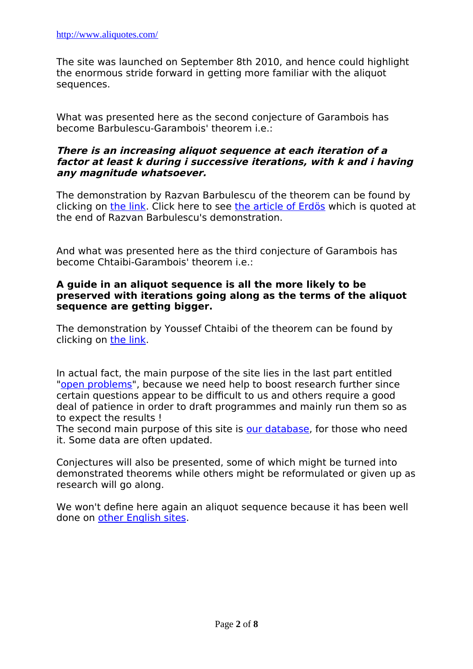The site was launched on September 8th 2010, and hence could highlight the enormous stride forward in getting more familiar with the aliquot sequences.

What was presented here as the second conjecture of Garambois has become Barbulescu-Garambois' theorem i.e.:

#### **There is an increasing aliquot sequence at each iteration of a factor at least k during i successive iterations, with k and i having any magnitude whatsoever.**

The demonstration by Razvan Barbulescu of the theorem can be found by clicking on [the link.](http://www.aliquotes.com/aliquote_en.pdf) Click here to see [the article of Erdös](http://www.aliquotes.com/Lenstra.pdf) which is quoted at the end of Razvan Barbulescu's demonstration.

And what was presented here as the third conjecture of Garambois has become Chtaibi-Garambois' theorem i.e.:

#### **A guide in an aliquot sequence is all the more likely to be preserved with iterations going along as the terms of the aliquot sequence are getting bigger.**

The demonstration by Youssef Chtaibi of the theorem can be found by clicking on [the link.](http://www.aliquotes.com/theoreme_chtaibi_garambois_en.pdf)

In actual fact, the main purpose of the site lies in the last part entitled ["open problems"](http://www.aliquotes.com/problemes.htm), because we need help to boost research further since certain questions appear to be difficult to us and others require a good deal of patience in order to draft programmes and mainly run them so as to expect the results !

The second main purpose of this site is [our database,](http://www.aliquotes.com/aliquote_base.htm) for those who need it. Some data are often updated.

Conjectures will also be presented, some of which might be turned into demonstrated theorems while others might be reformulated or given up as research will go along.

We won't define here again an aliquot sequence because it has been well done on [other English sites.](http://www.aliquotes.com/sites.htm)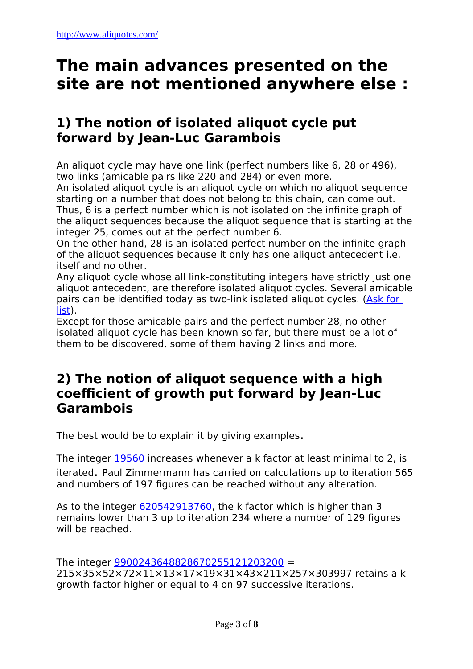# **The main advances presented on the site are not mentioned anywhere else :**

# **1) The notion of isolated aliquot cycle put forward by Jean-Luc Garambois**

An aliquot cycle may have one link (perfect numbers like 6, 28 or 496), two links (amicable pairs like 220 and 284) or even more.

An isolated aliquot cycle is an aliquot cycle on which no aliquot sequence starting on a number that does not belong to this chain, can come out. Thus, 6 is a perfect number which is not isolated on the infinite graph of the aliquot sequences because the aliquot sequence that is starting at the integer 25, comes out at the perfect number 6.

On the other hand, 28 is an isolated perfect number on the infinite graph of the aliquot sequences because it only has one aliquot antecedent i.e. itself and no other.

Any aliquot cycle whose all link-constituting integers have strictly just one aliquot antecedent, are therefore isolated aliquot cycles. Several amicable pairs can be identified today as two-link isolated aliquot cycles. (Ask for [list\)](http://www.aliquotes.com/chaines_aliquotes_isolees.html).

Except for those amicable pairs and the perfect number 28, no other isolated aliquot cycle has been known so far, but there must be a lot of them to be discovered, some of them having 2 links and more.

## **2) The notion of aliquot sequence with a high coefficient of growth put forward by Jean-Luc Garambois**

The best would be to explain it by giving examples.

The integer [19560](http://www.factordb.com/sequences.php?se=1&eff=2&aq=19560&action=last20&fr=0&to=100) increases whenever a k factor at least minimal to 2, is iterated. Paul Zimmermann has carried on calculations up to iteration 565 and numbers of 197 figures can be reached without any alteration.

As to the integer [620542913760,](http://www.factordb.com/sequences.php?se=1&eff=2&aq=620542913760&action=last20&fr=0&to=100) the k factor which is higher than 3 remains lower than 3 up to iteration 234 where a number of 129 figures will be reached.

The integer [9900243648828670255121203200](http://www.factordb.com/sequences.php?se=1&eff=2&aq=9900243648828670255121203200&action=last20&fr=0&to=100) =

215×35×52×72×11×13×17×19×31×43×211×257×303997 retains a k growth factor higher or equal to 4 on 97 successive iterations.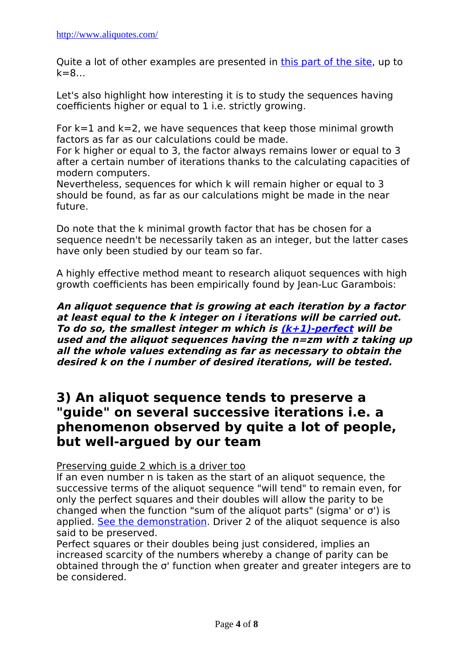Quite a lot of other examples are presented in [this part of the site,](http://www.aliquotes.com/conjectures_expliquees.htm#suitesk) up to k=8…

Let's also highlight how interesting it is to study the sequences having coefficients higher or equal to 1 i.e. strictly growing.

For  $k=1$  and  $k=2$ , we have sequences that keep those minimal growth factors as far as our calculations could be made.

For k higher or equal to 3, the factor always remains lower or equal to 3 after a certain number of iterations thanks to the calculating capacities of modern computers.

Nevertheless, sequences for which k will remain higher or equal to 3 should be found, as far as our calculations might be made in the near future.

Do note that the k minimal growth factor that has be chosen for a sequence needn't be necessarily taken as an integer, but the latter cases have only been studied by our team so far.

A highly effective method meant to research aliquot sequences with high growth coefficients has been empirically found by Jean-Luc Garambois:

**An aliquot sequence that is growing at each iteration by a factor at least equal to the k integer on i iterations will be carried out. To do so, the smallest integer m which is [\(k+1\)-perfect](http://www.aliquotes.com/multiparfait.html) will be used and the aliquot sequences having the n=zm with z taking up all the whole values extending as far as necessary to obtain the desired k on the i number of desired iterations, will be tested.**

### **3) An aliquot sequence tends to preserve a "guide" on several successive iterations i.e. a phenomenon observed by quite a lot of people, but well-argued by our team**

Preserving guide 2 which is a driver too

If an even number n is taken as the start of an aliquot sequence, the successive terms of the aliquot sequence "will tend" to remain even, for only the perfect squares and their doubles will allow the parity to be changed when the function "sum of the aliquot parts" (sigma' or σ') is applied. [See the demonstration.](http://www.aliquotes.com/changement_parite.pdf) Driver 2 of the aliquot sequence is also said to be preserved.

Perfect squares or their doubles being just considered, implies an increased scarcity of the numbers whereby a change of parity can be obtained through the σ' function when greater and greater integers are to be considered.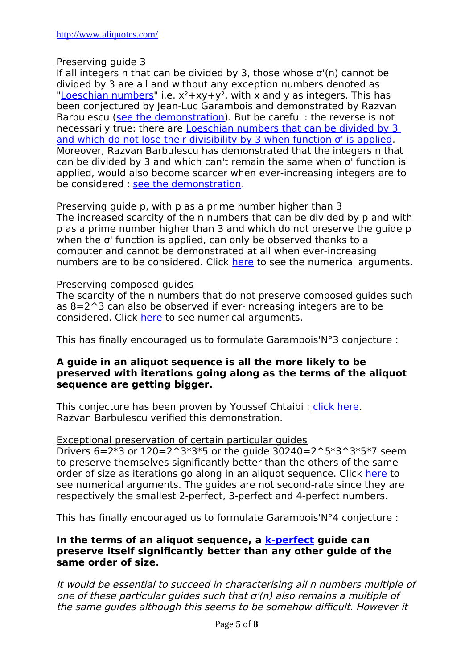#### Preserving guide 3

If all integers n that can be divided by 3, those whose  $\sigma'(n)$  cannot be divided by 3 are all and without any exception numbers denoted as ["Loeschian numbers"](http://oeis.org/A003136) i.e.  $x^2 + xy + y^2$ , with x and y as integers. This has been conjectured by Jean-Luc Garambois and demonstrated by Razvan Barbulescu [\(see the demonstration\)](http://www.aliquotes.com/Loschian.pdf). But be careful : the reverse is not necessarily true: there are [Loeschian numbers that can be divided by 3](http://oeis.org/search?q=A088535&sort=&language=english&go=Search)  [and which do not lose their divisibility by 3 when function σ' is applied.](http://oeis.org/search?q=A088535&sort=&language=english&go=Search) Moreover, Razvan Barbulescu has demonstrated that the integers n that can be divided by 3 and which can't remain the same when σ' function is applied, would also become scarcer when ever-increasing integers are to be considered : [see the demonstration.](http://www.aliquotes.com/majoration.pdf)

#### Preserving guide p, with p as a prime number higher than 3

The increased scarcity of the n numbers that can be divided by p and with p as a prime number higher than 3 and which do not preserve the guide p when the σ' function is applied, can only be observed thanks to a computer and cannot be demonstrated at all when ever-increasing numbers are to be considered. Click [here](http://www.aliquotes.com/conjectures_expliquees.htm) to see the numerical arguments.

#### Preserving composed guides

The scarcity of the n numbers that do not preserve composed guides such as 8=2^3 can also be observed if ever-increasing integers are to be considered. Click [here](http://www.aliquotes.com/conjectures_expliquees.htm) to see numerical arguments.

This has finally encouraged us to formulate Garambois'N°3 conjecture :

#### **A guide in an aliquot sequence is all the more likely to be preserved with iterations going along as the terms of the aliquot sequence are getting bigger.**

This conjecture has been proven by Youssef Chtaibi: [click here.](http://www.aliquotes.com/theoreme_chtaibi_garambois.pdf) Razvan Barbulescu verified this demonstration.

#### Exceptional preservation of certain particular guides

Drivers  $6=2*3$  or  $120=2^3*3*5$  or the quide  $30240=2^5*3^3*5*7$  seem to preserve themselves significantly better than the others of the same order of size as iterations go along in an aliquot sequence. Click [here](http://www.aliquotes.com/conjectures_expliquees.htm) to see numerical arguments. The guides are not second-rate since they are respectively the smallest 2-perfect, 3-perfect and 4-perfect numbers.

This has finally encouraged us to formulate Garambois'N°4 conjecture :

#### **In the terms of an aliquot sequence, a [k-perfect](http://www.aliquotes.com/multiparfait.html) guide can preserve itself significantly better than any other guide of the same order of size.**

It would be essential to succeed in characterising all n numbers multiple of one of these particular guides such that σ'(n) also remains a multiple of the same guides although this seems to be somehow difficult. However it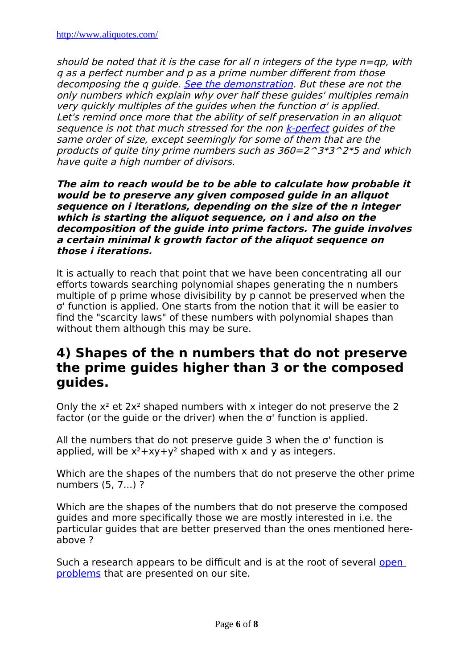should be noted that it is the case for all n integers of the type  $n=qp$ , with q as a perfect number and p as a prime number different from those decomposing the q quide. [See the demonstration](http://www.aliquotes.com/kparfait.pdf). But these are not the only numbers which explain why over half these guides' multiples remain very quickly multiples of the quides when the function  $\sigma'$  is applied. Let's remind once more that the ability of self preservation in an aliquot sequence is not that much stressed for the non [k-perfect](http://www.aliquotes.com/multiparfait.html) quides of the same order of size, except seemingly for some of them that are the products of quite tiny prime numbers such as  $360=2^{\circ}3*3^{\circ}2*5$  and which have quite a high number of divisors.

**The aim to reach would be to be able to calculate how probable it would be to preserve any given composed guide in an aliquot sequence on i iterations, depending on the size of the n integer which is starting the aliquot sequence, on i and also on the decomposition of the guide into prime factors. The guide involves a certain minimal k growth factor of the aliquot sequence on those i iterations.**

It is actually to reach that point that we have been concentrating all our efforts towards searching polynomial shapes generating the n numbers multiple of p prime whose divisibility by p cannot be preserved when the σ' function is applied. One starts from the notion that it will be easier to find the "scarcity laws" of these numbers with polynomial shapes than without them although this may be sure.

### **4) Shapes of the n numbers that do not preserve the prime guides higher than 3 or the composed guides.**

Only the  $x^2$  et  $2x^2$  shaped numbers with x integer do not preserve the 2 factor (or the guide or the driver) when the σ' function is applied.

All the numbers that do not preserve guide 3 when the σ' function is applied, will be  $x^2 + xy + y^2$  shaped with x and y as integers.

Which are the shapes of the numbers that do not preserve the other prime numbers (5, 7...) ?

Which are the shapes of the numbers that do not preserve the composed guides and more specifically those we are mostly interested in i.e. the particular guides that are better preserved than the ones mentioned hereabove ?

Such a research appears to be difficult and is at the root of several open [problems](http://www.aliquotes.com/problemes.htm) that are presented on our site.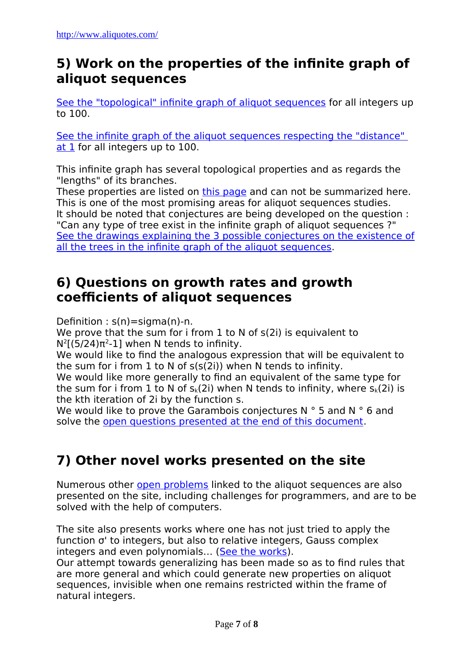# **5) Work on the properties of the infinite graph of aliquot sequences**

[See the "topological" infinite graph of aliquot sequences](http://www.aliquotes.com/graphinfinisuali.pdf) for all integers up to 100.

 [See the infinite graph of the aliquot sequences respecting the "distance"](http://www.aliquotes.com/graphinfinisualidistresp.pdf)  [at 1](http://www.aliquotes.com/graphinfinisualidistresp.pdf) for all integers up to 100.

This infinite graph has several topological properties and as regards the "lengths" of its branches.

These properties are listed on [this page](http://www.aliquotes.com/graphinfinisuali.htm) and can not be summarized here. This is one of the most promising areas for aliquot sequences studies. It should be noted that conjectures are being developed on the question : "Can any type of tree exist in the infinite graph of aliquot sequences ?" [See the drawings explaining the 3 possible conjectures on the existence of](http://www.aliquotes.com/existence_graphes.pdf) [all the trees in the infinite graph of the aliquot sequences.](http://www.aliquotes.com/existence_graphes.pdf)

# **6) Questions on growth rates and growth coefficients of aliquot sequences**

Definition :  $s(n)$ =sigma(n)-n.

We prove that the sum for i from 1 to N of s(2i) is equivalent to  $N^2[(5/24)\pi^2-1]$  when N tends to infinity.

We would like to find the analogous expression that will be equivalent to the sum for i from 1 to N of s(s(2i)) when N tends to infinity.

We would like more generally to find an equivalent of the same type for the sum for i from 1 to N of  $s_k(2i)$  when N tends to infinity, where  $s_k(2i)$  is the kth iteration of 2i by the function s.

We would like to prove the Garambois conjectures N ° 5 and N ° 6 and solve the [open questions presented at the end of this document.](http://www.aliquotes.com/vitesse_croissance.pdf)

# **7) Other novel works presented on the site**

Numerous other [open problems](http://www.aliquotes.com/problemes.htm) linked to the aliquot sequences are also presented on the site, including challenges for programmers, and are to be solved with the help of computers.

The site also presents works where one has not just tried to apply the function σ' to integers, but also to relative integers, Gauss complex integers and even polynomials... [\(See the works\)](http://www.aliquotes.com/etendre_sigma.html).

Our attempt towards generalizing has been made so as to find rules that are more general and which could generate new properties on aliquot sequences, invisible when one remains restricted within the frame of natural integers.